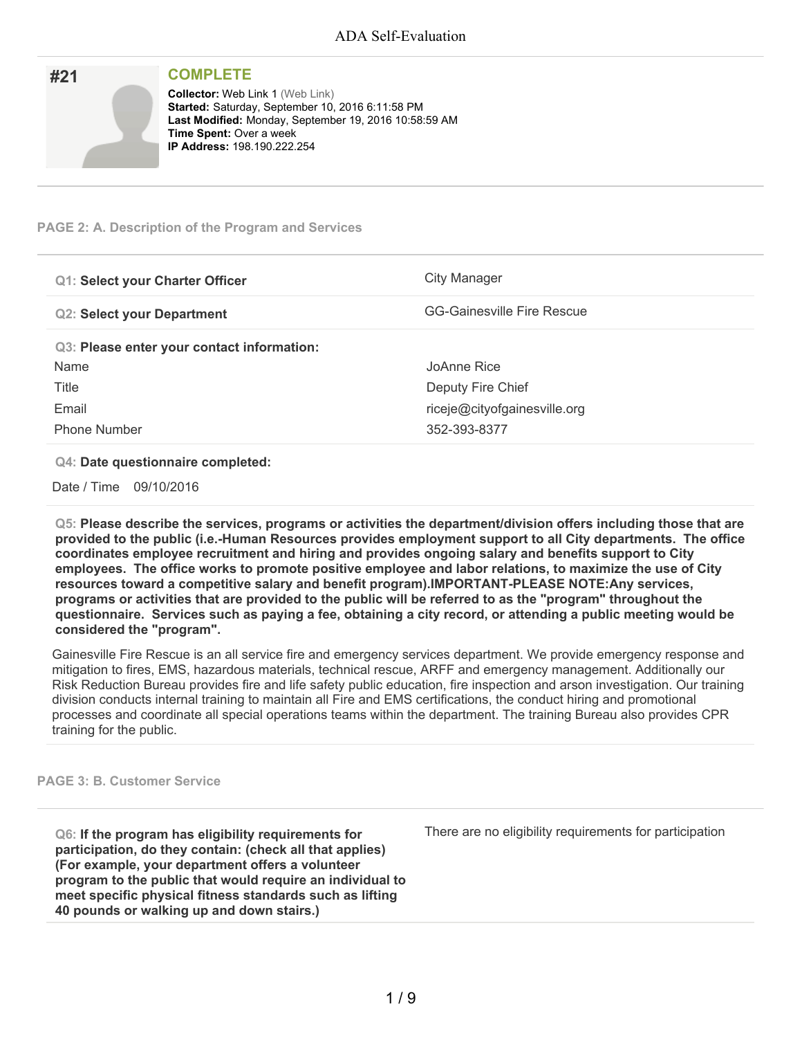| #21 | <b>COMPLETE</b>                                                                                                                                                                                                              |
|-----|------------------------------------------------------------------------------------------------------------------------------------------------------------------------------------------------------------------------------|
|     | <b>Collector: Web Link 1 (Web Link)</b><br>Started: Saturday, September 10, 2016 6:11:58 PM<br>Last Modified: Monday, September 19, 2016 10:58:59 AM<br><b>Time Spent: Over a week</b><br><b>IP Address: 198.190.222.254</b> |

#### **PAGE 2: A. Description of the Program and Services**

| <b>Q1: Select your Charter Officer</b>     | City Manager                      |
|--------------------------------------------|-----------------------------------|
| <b>Q2: Select your Department</b>          | <b>GG-Gainesville Fire Rescue</b> |
| Q3: Please enter your contact information: |                                   |
| Name                                       | JoAnne Rice                       |
| Title                                      | Deputy Fire Chief                 |
| Email                                      | riceje@cityofgainesville.org      |
| <b>Phone Number</b>                        | 352-393-8377                      |

#### **Q4: Date questionnaire completed:**

Date / Time 09/10/2016

**Q5: Please describe the services, programs or activities the department/division offers including those that are provided to the public (i.e.-Human Resources provides employment support to all City departments. The office coordinates employee recruitment and hiring and provides ongoing salary and benefits support to City employees. The office works to promote positive employee and labor relations, to maximize the use of City resources toward a competitive salary and benefit program).IMPORTANT-PLEASE NOTE:Any services,** programs or activities that are provided to the public will be referred to as the "program" throughout the questionnaire. Services such as paying a fee, obtaining a city record, or attending a public meeting would be **considered the "program".**

Gainesville Fire Rescue is an all service fire and emergency services department. We provide emergency response and mitigation to fires, EMS, hazardous materials, technical rescue, ARFF and emergency management. Additionally our Risk Reduction Bureau provides fire and life safety public education, fire inspection and arson investigation. Our training division conducts internal training to maintain all Fire and EMS certifications, the conduct hiring and promotional processes and coordinate all special operations teams within the department. The training Bureau also provides CPR training for the public.

#### **PAGE 3: B. Customer Service**

**Q6: If the program has eligibility requirements for participation, do they contain: (check all that applies) (For example, your department offers a volunteer program to the public that would require an individual to meet specific physical fitness standards such as lifting 40 pounds or walking up and down stairs.)**

There are no eligibility requirements for participation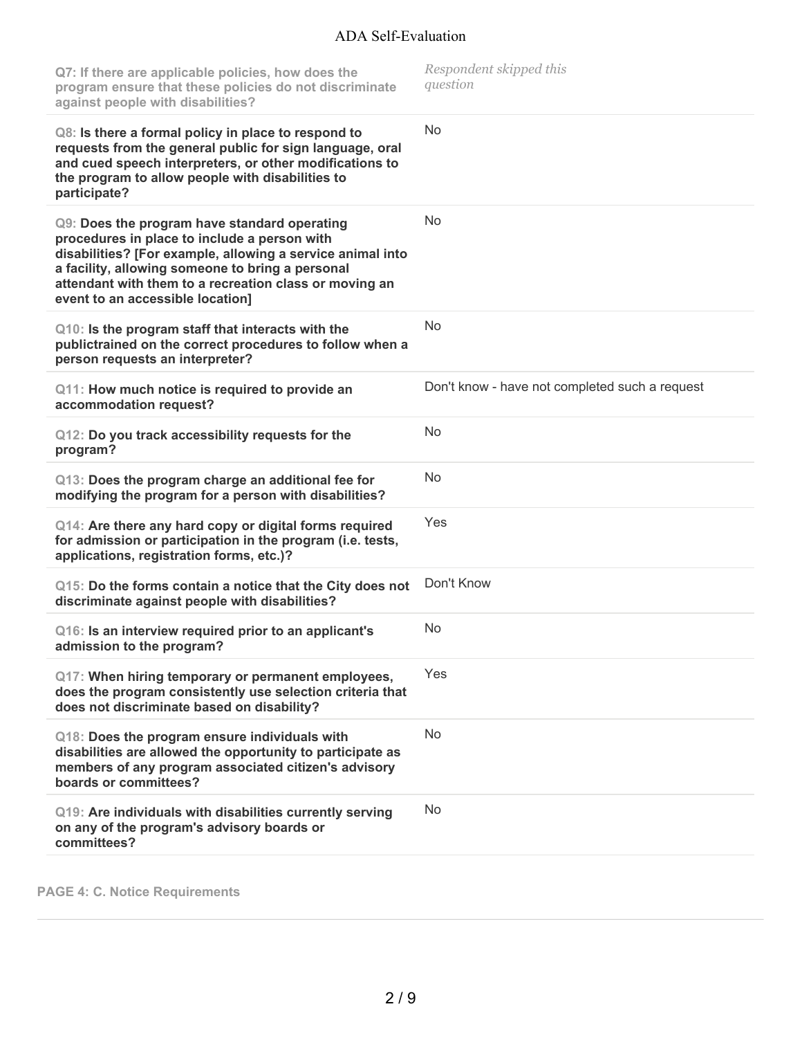| Q7: If there are applicable policies, how does the<br>program ensure that these policies do not discriminate<br>against people with disabilities?                                                                                                                                                            | Respondent skipped this<br>question            |
|--------------------------------------------------------------------------------------------------------------------------------------------------------------------------------------------------------------------------------------------------------------------------------------------------------------|------------------------------------------------|
| Q8: Is there a formal policy in place to respond to<br>requests from the general public for sign language, oral<br>and cued speech interpreters, or other modifications to<br>the program to allow people with disabilities to<br>participate?                                                               | <b>No</b>                                      |
| Q9: Does the program have standard operating<br>procedures in place to include a person with<br>disabilities? [For example, allowing a service animal into<br>a facility, allowing someone to bring a personal<br>attendant with them to a recreation class or moving an<br>event to an accessible location] | No                                             |
| Q10: Is the program staff that interacts with the<br>publictrained on the correct procedures to follow when a<br>person requests an interpreter?                                                                                                                                                             | No                                             |
| Q11: How much notice is required to provide an<br>accommodation request?                                                                                                                                                                                                                                     | Don't know - have not completed such a request |
| Q12: Do you track accessibility requests for the<br>program?                                                                                                                                                                                                                                                 | N <sub>o</sub>                                 |
| Q13: Does the program charge an additional fee for<br>modifying the program for a person with disabilities?                                                                                                                                                                                                  | No                                             |
| Q14: Are there any hard copy or digital forms required<br>for admission or participation in the program (i.e. tests,<br>applications, registration forms, etc.)?                                                                                                                                             | Yes                                            |
| Q15: Do the forms contain a notice that the City does not<br>discriminate against people with disabilities?                                                                                                                                                                                                  | Don't Know                                     |
| Q16: Is an interview required prior to an applicant's<br>admission to the program?                                                                                                                                                                                                                           | No                                             |
| Q17: When hiring temporary or permanent employees,<br>does the program consistently use selection criteria that<br>does not discriminate based on disability?                                                                                                                                                | Yes                                            |
| Q18: Does the program ensure individuals with<br>disabilities are allowed the opportunity to participate as<br>members of any program associated citizen's advisory<br>boards or committees?                                                                                                                 | <b>No</b>                                      |
| Q19: Are individuals with disabilities currently serving<br>on any of the program's advisory boards or<br>committees?                                                                                                                                                                                        | No                                             |

**PAGE 4: C. Notice Requirements**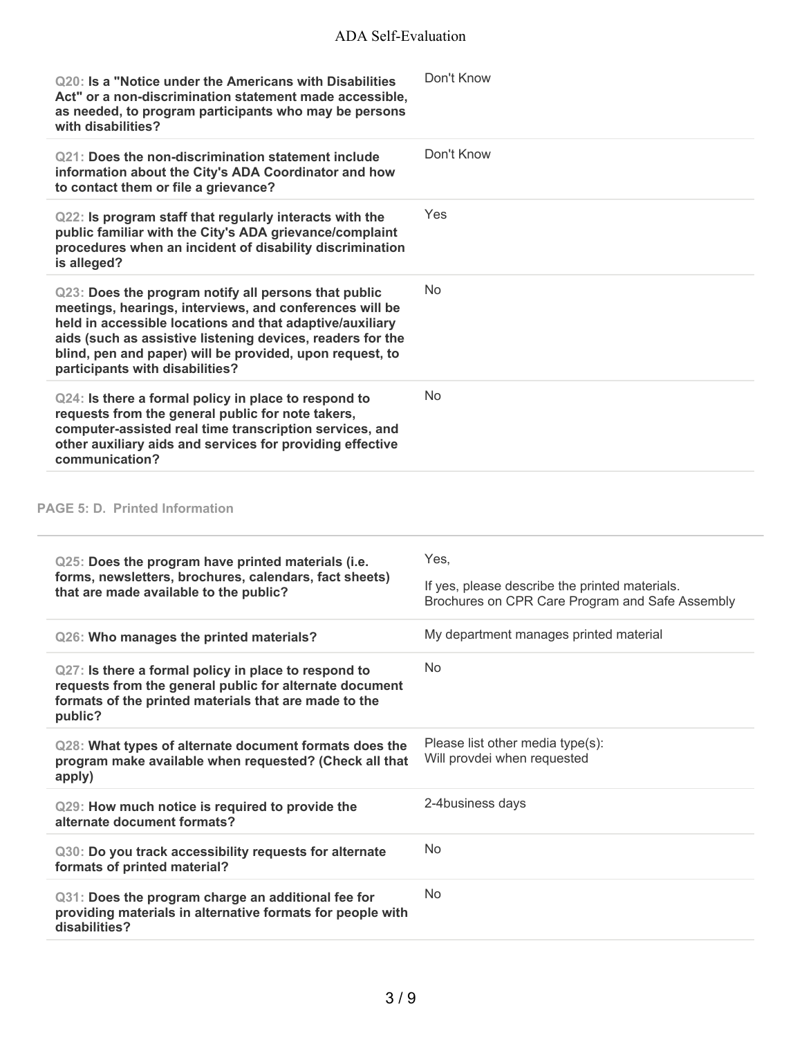| Q20: Is a "Notice under the Americans with Disabilities<br>Act" or a non-discrimination statement made accessible,<br>as needed, to program participants who may be persons<br>with disabilities?                                                                                                                                        | Don't Know                                                                                                |
|------------------------------------------------------------------------------------------------------------------------------------------------------------------------------------------------------------------------------------------------------------------------------------------------------------------------------------------|-----------------------------------------------------------------------------------------------------------|
| Q21: Does the non-discrimination statement include<br>information about the City's ADA Coordinator and how<br>to contact them or file a grievance?                                                                                                                                                                                       | Don't Know                                                                                                |
| Q22: Is program staff that regularly interacts with the<br>public familiar with the City's ADA grievance/complaint<br>procedures when an incident of disability discrimination<br>is alleged?                                                                                                                                            | Yes                                                                                                       |
| Q23: Does the program notify all persons that public<br>meetings, hearings, interviews, and conferences will be<br>held in accessible locations and that adaptive/auxiliary<br>aids (such as assistive listening devices, readers for the<br>blind, pen and paper) will be provided, upon request, to<br>participants with disabilities? | <b>No</b>                                                                                                 |
| Q24: Is there a formal policy in place to respond to<br>requests from the general public for note takers,<br>computer-assisted real time transcription services, and<br>other auxiliary aids and services for providing effective<br>communication?                                                                                      | <b>No</b>                                                                                                 |
| <b>PAGE 5: D. Printed Information</b>                                                                                                                                                                                                                                                                                                    |                                                                                                           |
| Q25: Does the program have printed materials (i.e.<br>forms, newsletters, brochures, calendars, fact sheets)<br>that are made available to the public?                                                                                                                                                                                   | Yes,<br>If yes, please describe the printed materials.<br>Brochures on CPR Care Program and Safe Assembly |
| Q26: Who manages the printed materials?                                                                                                                                                                                                                                                                                                  | My department manages printed material                                                                    |
| Q27: Is there a formal policy in place to respond to<br>requests from the general public for alternate document<br>formats of the printed materials that are made to the<br>public?                                                                                                                                                      | <b>No</b>                                                                                                 |
| Q28: What types of alternate document formats does the<br>program make available when requested? (Check all that<br>apply)                                                                                                                                                                                                               | Please list other media type(s):<br>Will provdei when requested                                           |
| Q29: How much notice is required to provide the<br>alternate document formats?                                                                                                                                                                                                                                                           | 2-4business days                                                                                          |
| Q30: Do you track accessibility requests for alternate<br>formats of printed material?                                                                                                                                                                                                                                                   | No                                                                                                        |
| Q31: Does the program charge an additional fee for<br>providing materials in alternative formats for people with<br>disabilities?                                                                                                                                                                                                        | <b>No</b>                                                                                                 |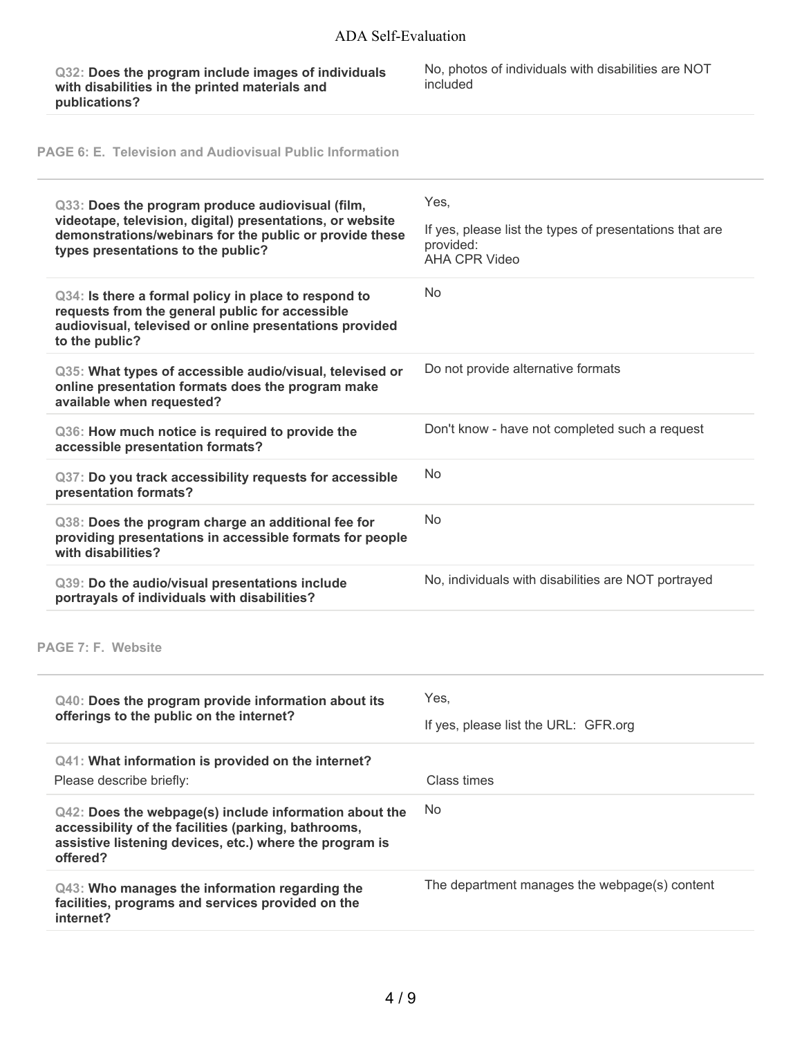**Q32: Does the program include images of individuals with disabilities in the printed materials and publications?**

No, photos of individuals with disabilities are NOT included

**PAGE 6: E. Television and Audiovisual Public Information**

| Q33: Does the program produce audiovisual (film,<br>videotape, television, digital) presentations, or website<br>demonstrations/webinars for the public or provide these<br>types presentations to the public? | Yes,<br>If yes, please list the types of presentations that are<br>provided:<br><b>AHA CPR Video</b> |
|----------------------------------------------------------------------------------------------------------------------------------------------------------------------------------------------------------------|------------------------------------------------------------------------------------------------------|
| Q34: Is there a formal policy in place to respond to<br>requests from the general public for accessible<br>audiovisual, televised or online presentations provided<br>to the public?                           | No                                                                                                   |
| Q35: What types of accessible audio/visual, televised or<br>online presentation formats does the program make<br>available when requested?                                                                     | Do not provide alternative formats                                                                   |
| Q36: How much notice is required to provide the<br>accessible presentation formats?                                                                                                                            | Don't know - have not completed such a request                                                       |
| Q37: Do you track accessibility requests for accessible<br>presentation formats?                                                                                                                               | No                                                                                                   |
| Q38: Does the program charge an additional fee for<br>providing presentations in accessible formats for people<br>with disabilities?                                                                           | <b>No</b>                                                                                            |
| Q39: Do the audio/visual presentations include<br>portrayals of individuals with disabilities?                                                                                                                 | No, individuals with disabilities are NOT portrayed                                                  |
| PAGE 7: F. Website                                                                                                                                                                                             |                                                                                                      |
| Q40: Does the program provide information about its<br>offerings to the public on the internet?                                                                                                                | Yes,<br>If yes, please list the URL: GFR.org                                                         |
| Q41: What information is provided on the internet?<br>Please describe briefly:                                                                                                                                 | Class times                                                                                          |
| Q42: Does the webpage(s) include information about the<br>accessibility of the facilities (parking, bathrooms,<br>assistive listening devices, etc.) where the program is<br>offered?                          | No                                                                                                   |
| Q43: Who manages the information regarding the<br>facilities, programs and services provided on the<br>internet?                                                                                               | The department manages the webpage(s) content                                                        |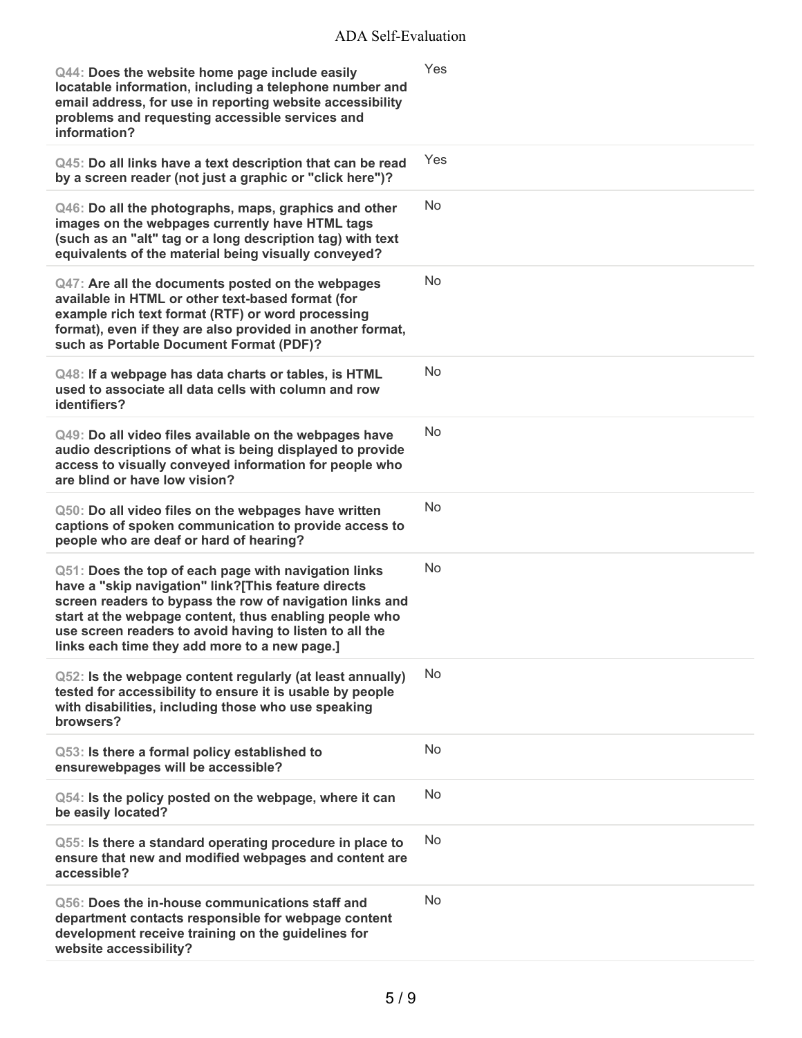| Q44: Does the website home page include easily<br>locatable information, including a telephone number and<br>email address, for use in reporting website accessibility<br>problems and requesting accessible services and<br>information?                                                                                                     | Yes        |
|-----------------------------------------------------------------------------------------------------------------------------------------------------------------------------------------------------------------------------------------------------------------------------------------------------------------------------------------------|------------|
| Q45: Do all links have a text description that can be read<br>by a screen reader (not just a graphic or "click here")?                                                                                                                                                                                                                        | <b>Yes</b> |
| Q46: Do all the photographs, maps, graphics and other<br>images on the webpages currently have HTML tags<br>(such as an "alt" tag or a long description tag) with text<br>equivalents of the material being visually conveyed?                                                                                                                | <b>No</b>  |
| Q47: Are all the documents posted on the webpages<br>available in HTML or other text-based format (for<br>example rich text format (RTF) or word processing<br>format), even if they are also provided in another format,<br>such as Portable Document Format (PDF)?                                                                          | No         |
| Q48: If a webpage has data charts or tables, is HTML<br>used to associate all data cells with column and row<br>identifiers?                                                                                                                                                                                                                  | <b>No</b>  |
| Q49: Do all video files available on the webpages have<br>audio descriptions of what is being displayed to provide<br>access to visually conveyed information for people who<br>are blind or have low vision?                                                                                                                                 | No         |
| Q50: Do all video files on the webpages have written<br>captions of spoken communication to provide access to<br>people who are deaf or hard of hearing?                                                                                                                                                                                      | <b>No</b>  |
| Q51: Does the top of each page with navigation links<br>have a "skip navigation" link?[This feature directs<br>screen readers to bypass the row of navigation links and<br>start at the webpage content, thus enabling people who<br>use screen readers to avoid having to listen to all the<br>links each time they add more to a new page.] | <b>No</b>  |
| Q52: Is the webpage content regularly (at least annually)<br>tested for accessibility to ensure it is usable by people<br>with disabilities, including those who use speaking<br>browsers?                                                                                                                                                    | No         |
| Q53: Is there a formal policy established to<br>ensurewebpages will be accessible?                                                                                                                                                                                                                                                            | No         |
| Q54: Is the policy posted on the webpage, where it can<br>be easily located?                                                                                                                                                                                                                                                                  | <b>No</b>  |
| Q55: Is there a standard operating procedure in place to<br>ensure that new and modified webpages and content are<br>accessible?                                                                                                                                                                                                              | No         |
| Q56: Does the in-house communications staff and<br>department contacts responsible for webpage content<br>development receive training on the guidelines for<br>website accessibility?                                                                                                                                                        | <b>No</b>  |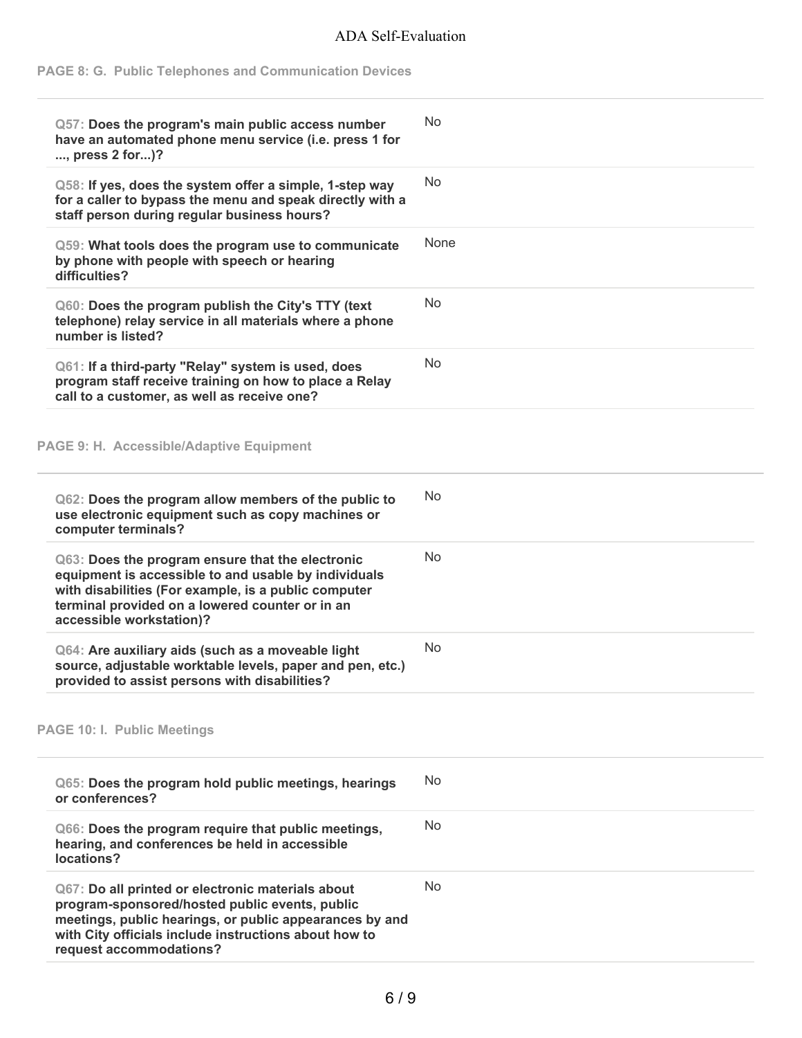#### **PAGE 8: G. Public Telephones and Communication Devices**

| Q57: Does the program's main public access number<br>have an automated phone menu service (i.e. press 1 for<br>, press 2 for)?                                                                                                                     | No        |
|----------------------------------------------------------------------------------------------------------------------------------------------------------------------------------------------------------------------------------------------------|-----------|
| Q58: If yes, does the system offer a simple, 1-step way<br>for a caller to bypass the menu and speak directly with a<br>staff person during regular business hours?                                                                                | No.       |
| Q59: What tools does the program use to communicate<br>by phone with people with speech or hearing<br>difficulties?                                                                                                                                | None      |
| Q60: Does the program publish the City's TTY (text<br>telephone) relay service in all materials where a phone<br>number is listed?                                                                                                                 | No        |
| Q61: If a third-party "Relay" system is used, does<br>program staff receive training on how to place a Relay<br>call to a customer, as well as receive one?                                                                                        | <b>No</b> |
| PAGE 9: H. Accessible/Adaptive Equipment                                                                                                                                                                                                           |           |
| Q62: Does the program allow members of the public to<br>use electronic equipment such as copy machines or<br>computer terminals?                                                                                                                   | No.       |
| Q63: Does the program ensure that the electronic<br>equipment is accessible to and usable by individuals<br>with disabilities (For example, is a public computer<br>terminal provided on a lowered counter or in an<br>accessible workstation)?    | <b>No</b> |
| Q64: Are auxiliary aids (such as a moveable light<br>source, adjustable worktable levels, paper and pen, etc.)<br>provided to assist persons with disabilities?                                                                                    | No        |
| <b>PAGE 10: I. Public Meetings</b>                                                                                                                                                                                                                 |           |
| Q65: Does the program hold public meetings, hearings<br>or conferences?                                                                                                                                                                            | <b>No</b> |
| Q66: Does the program require that public meetings,<br>hearing, and conferences be held in accessible<br>locations?                                                                                                                                | No        |
| Q67: Do all printed or electronic materials about<br>program-sponsored/hosted public events, public<br>meetings, public hearings, or public appearances by and<br>with City officials include instructions about how to<br>request accommodations? | No        |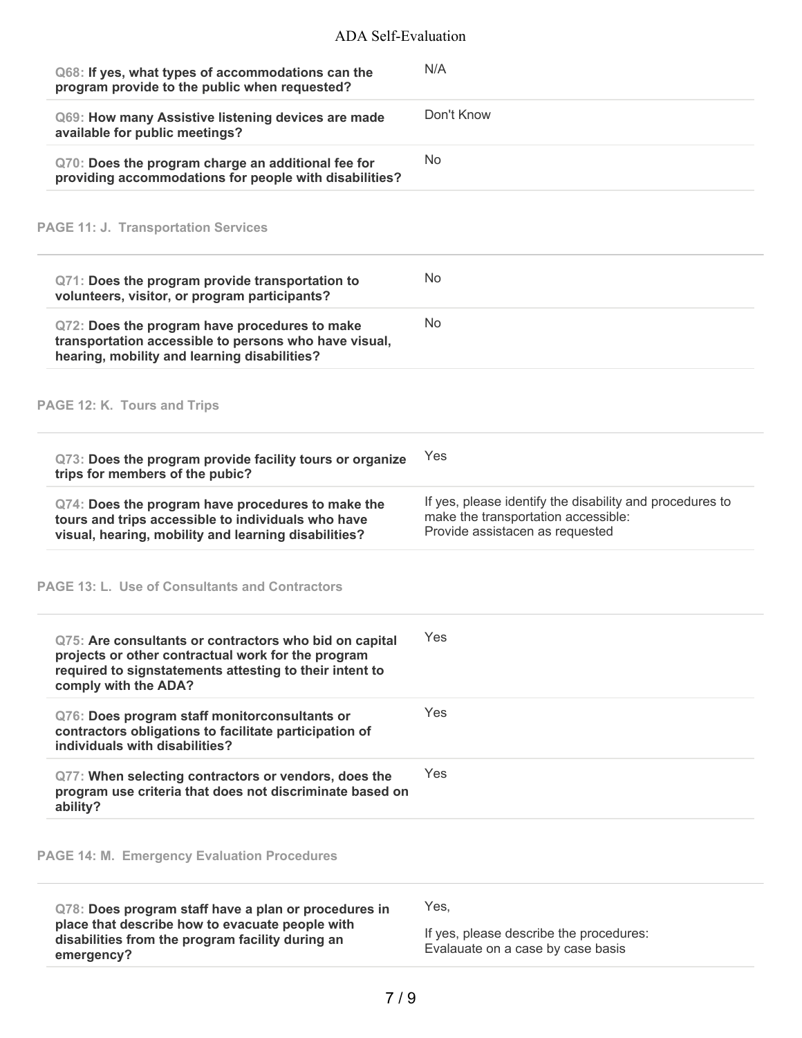| Q68: If yes, what types of accommodations can the<br>program provide to the public when requested?                                                                                              | N/A                                                                    |
|-------------------------------------------------------------------------------------------------------------------------------------------------------------------------------------------------|------------------------------------------------------------------------|
| Q69: How many Assistive listening devices are made<br>available for public meetings?                                                                                                            | Don't Know                                                             |
| Q70: Does the program charge an additional fee for<br>providing accommodations for people with disabilities?                                                                                    | <b>No</b>                                                              |
| <b>PAGE 11: J. Transportation Services</b>                                                                                                                                                      |                                                                        |
| Q71: Does the program provide transportation to<br>volunteers, visitor, or program participants?                                                                                                | No                                                                     |
| Q72: Does the program have procedures to make<br>transportation accessible to persons who have visual,<br>hearing, mobility and learning disabilities?                                          | <b>No</b>                                                              |
| PAGE 12: K. Tours and Trips                                                                                                                                                                     |                                                                        |
| Q73: Does the program provide facility tours or organize<br>trips for members of the pubic?                                                                                                     | Yes                                                                    |
| Q74: Does the program have procedures to make the                                                                                                                                               | If yes, please identify the disability and procedures to               |
| tours and trips accessible to individuals who have<br>visual, hearing, mobility and learning disabilities?                                                                                      | make the transportation accessible:<br>Provide assistacen as requested |
| <b>PAGE 13: L. Use of Consultants and Contractors</b>                                                                                                                                           |                                                                        |
| Q75: Are consultants or contractors who bid on capital<br>projects or other contractual work for the program<br>required to signstatements attesting to their intent to<br>comply with the ADA? | Yes                                                                    |
| Q76: Does program staff monitorconsultants or<br>contractors obligations to facilitate participation of<br>individuals with disabilities?                                                       | Yes                                                                    |
| Q77: When selecting contractors or vendors, does the<br>program use criteria that does not discriminate based on<br>ability?                                                                    | Yes                                                                    |
| <b>PAGE 14: M. Emergency Evaluation Procedures</b>                                                                                                                                              |                                                                        |

**disabilities from the program facility during an emergency?**

If yes, please describe the procedures: Evalauate on a case by case basis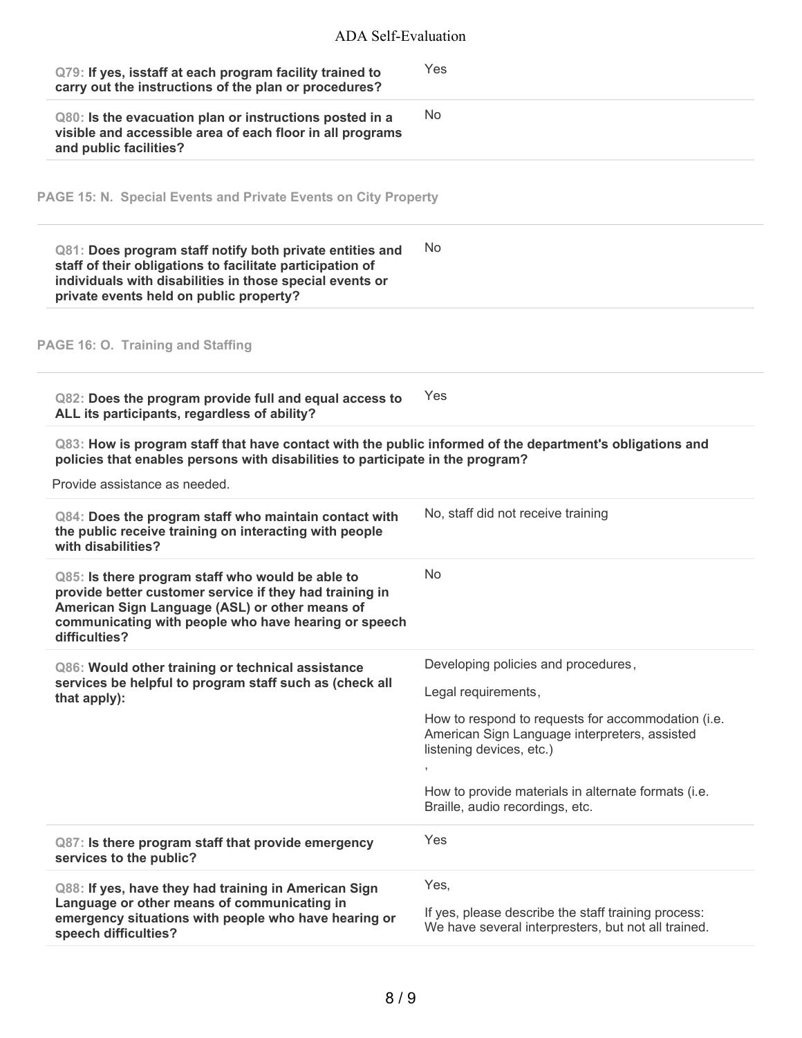| Q79: If yes, isstaff at each program facility trained to<br>carry out the instructions of the plan or procedures?                                                                                                                      | Yes                                                                                                                             |
|----------------------------------------------------------------------------------------------------------------------------------------------------------------------------------------------------------------------------------------|---------------------------------------------------------------------------------------------------------------------------------|
| Q80: Is the evacuation plan or instructions posted in a<br>visible and accessible area of each floor in all programs<br>and public facilities?                                                                                         | <b>No</b>                                                                                                                       |
| PAGE 15: N. Special Events and Private Events on City Property                                                                                                                                                                         |                                                                                                                                 |
| Q81: Does program staff notify both private entities and<br>staff of their obligations to facilitate participation of<br>individuals with disabilities in those special events or<br>private events held on public property?           | No                                                                                                                              |
| PAGE 16: O. Training and Staffing                                                                                                                                                                                                      |                                                                                                                                 |
| Q82: Does the program provide full and equal access to<br>ALL its participants, regardless of ability?                                                                                                                                 | Yes                                                                                                                             |
| Q83: How is program staff that have contact with the public informed of the department's obligations and<br>policies that enables persons with disabilities to participate in the program?<br>Provide assistance as needed.            |                                                                                                                                 |
| Q84: Does the program staff who maintain contact with<br>the public receive training on interacting with people<br>with disabilities?                                                                                                  | No, staff did not receive training                                                                                              |
| Q85: Is there program staff who would be able to<br>provide better customer service if they had training in<br>American Sign Language (ASL) or other means of<br>communicating with people who have hearing or speech<br>difficulties? | <b>No</b>                                                                                                                       |
| Q86: Would other training or technical assistance<br>services be helpful to program staff such as (check all<br>that apply):                                                                                                           | Developing policies and procedures,<br>Legal requirements,                                                                      |
|                                                                                                                                                                                                                                        | How to respond to requests for accommodation (i.e.<br>American Sign Language interpreters, assisted<br>listening devices, etc.) |
|                                                                                                                                                                                                                                        | How to provide materials in alternate formats (i.e.<br>Braille, audio recordings, etc.                                          |
| Q87: Is there program staff that provide emergency<br>services to the public?                                                                                                                                                          | Yes                                                                                                                             |
| Q88: If yes, have they had training in American Sign<br>Language or other means of communicating in<br>emergency situations with people who have hearing or<br>speech difficulties?                                                    | Yes,<br>If yes, please describe the staff training process:<br>We have several interpresters, but not all trained.              |